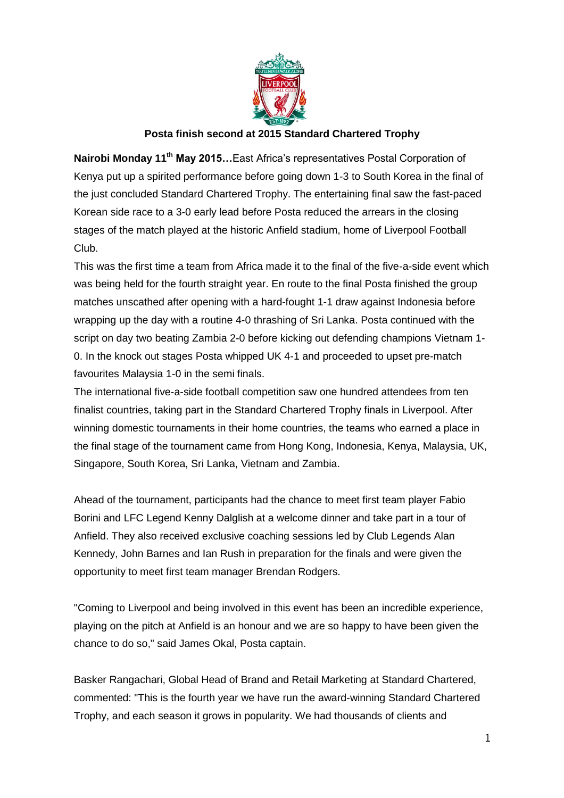

## **Posta finish second at 2015 Standard Chartered Trophy**

**Nairobi Monday 11th May 2015…**East Africa's representatives Postal Corporation of Kenya put up a spirited performance before going down 1-3 to South Korea in the final of the just concluded Standard Chartered Trophy. The entertaining final saw the fast-paced Korean side race to a 3-0 early lead before Posta reduced the arrears in the closing stages of the match played at the historic Anfield stadium, home of Liverpool Football Club.

This was the first time a team from Africa made it to the final of the five-a-side event which was being held for the fourth straight year. En route to the final Posta finished the group matches unscathed after opening with a hard-fought 1-1 draw against Indonesia before wrapping up the day with a routine 4-0 thrashing of Sri Lanka. Posta continued with the script on day two beating Zambia 2-0 before kicking out defending champions Vietnam 1- 0. In the knock out stages Posta whipped UK 4-1 and proceeded to upset pre-match favourites Malaysia 1-0 in the semi finals.

The international five-a-side football competition saw one hundred attendees from ten finalist countries, taking part in the Standard Chartered Trophy finals in Liverpool. After winning domestic tournaments in their home countries, the teams who earned a place in the final stage of the tournament came from Hong Kong, Indonesia, Kenya, Malaysia, UK, Singapore, South Korea, Sri Lanka, Vietnam and Zambia.

Ahead of the tournament, participants had the chance to meet first team player Fabio Borini and LFC Legend Kenny Dalglish at a welcome dinner and take part in a tour of Anfield. They also received exclusive coaching sessions led by Club Legends Alan Kennedy, John Barnes and Ian Rush in preparation for the finals and were given the opportunity to meet first team manager Brendan Rodgers.

"Coming to Liverpool and being involved in this event has been an incredible experience, playing on the pitch at Anfield is an honour and we are so happy to have been given the chance to do so," said James Okal, Posta captain.

Basker Rangachari, Global Head of Brand and Retail Marketing at Standard Chartered, commented: "This is the fourth year we have run the award-winning Standard Chartered Trophy, and each season it grows in popularity. We had thousands of clients and